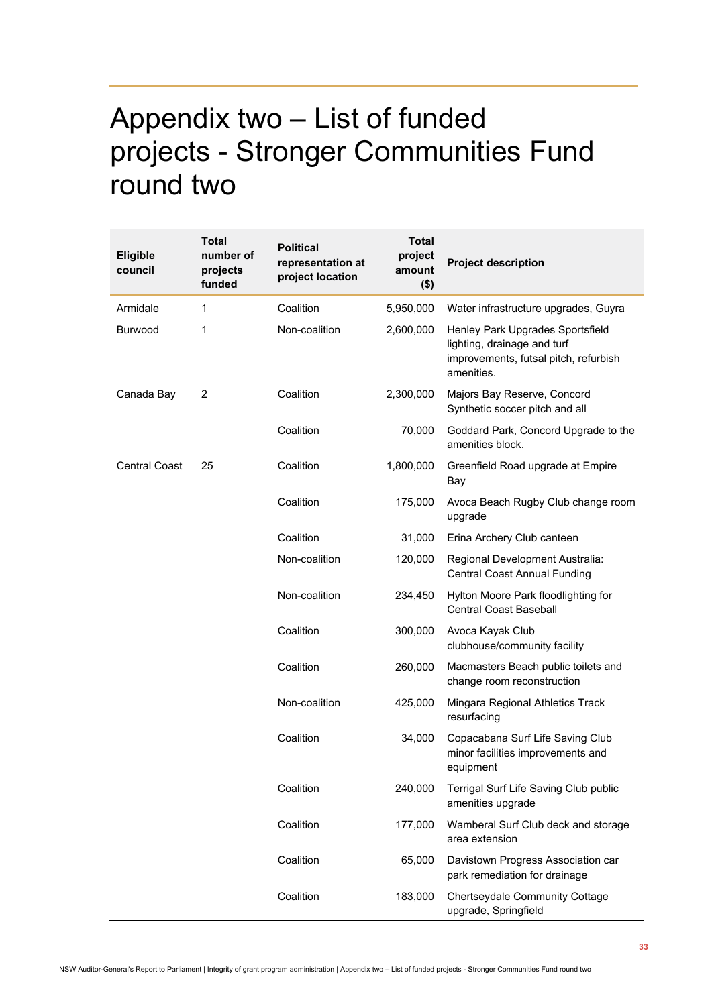## Appendix two – List of funded projects - Stronger Communities Fund round two

| Eligible<br>council  | Total<br>number of<br>projects<br>funded | <b>Political</b><br>representation at<br>project location | <b>Total</b><br>project<br>amount<br>$($ \$) | <b>Project description</b>                                                                                             |
|----------------------|------------------------------------------|-----------------------------------------------------------|----------------------------------------------|------------------------------------------------------------------------------------------------------------------------|
| Armidale             | 1                                        | Coalition                                                 | 5,950,000                                    | Water infrastructure upgrades, Guyra                                                                                   |
| <b>Burwood</b>       | 1                                        | Non-coalition                                             | 2,600,000                                    | Henley Park Upgrades Sportsfield<br>lighting, drainage and turf<br>improvements, futsal pitch, refurbish<br>amenities. |
| Canada Bay           | 2                                        | Coalition                                                 | 2,300,000                                    | Majors Bay Reserve, Concord<br>Synthetic soccer pitch and all                                                          |
|                      |                                          | Coalition                                                 | 70,000                                       | Goddard Park, Concord Upgrade to the<br>amenities block.                                                               |
| <b>Central Coast</b> | 25                                       | Coalition                                                 | 1,800,000                                    | Greenfield Road upgrade at Empire<br>Bay                                                                               |
|                      |                                          | Coalition                                                 | 175,000                                      | Avoca Beach Rugby Club change room<br>upgrade                                                                          |
|                      |                                          | Coalition                                                 | 31,000                                       | Erina Archery Club canteen                                                                                             |
|                      |                                          | Non-coalition                                             | 120,000                                      | Regional Development Australia:<br><b>Central Coast Annual Funding</b>                                                 |
|                      |                                          | Non-coalition                                             | 234,450                                      | Hylton Moore Park floodlighting for<br><b>Central Coast Baseball</b>                                                   |
|                      |                                          | Coalition                                                 | 300,000                                      | Avoca Kayak Club<br>clubhouse/community facility                                                                       |
|                      |                                          | Coalition                                                 | 260,000                                      | Macmasters Beach public toilets and<br>change room reconstruction                                                      |
|                      |                                          | Non-coalition                                             | 425,000                                      | Mingara Regional Athletics Track<br>resurfacing                                                                        |
|                      |                                          | Coalition                                                 | 34,000                                       | Copacabana Surf Life Saving Club<br>minor facilities improvements and<br>equipment                                     |
|                      |                                          | Coalition                                                 | 240,000                                      | Terrigal Surf Life Saving Club public<br>amenities upgrade                                                             |
|                      |                                          | Coalition                                                 | 177,000                                      | Wamberal Surf Club deck and storage<br>area extension                                                                  |
|                      |                                          | Coalition                                                 | 65,000                                       | Davistown Progress Association car<br>park remediation for drainage                                                    |
|                      |                                          | Coalition                                                 | 183,000                                      | Chertseydale Community Cottage<br>upgrade, Springfield                                                                 |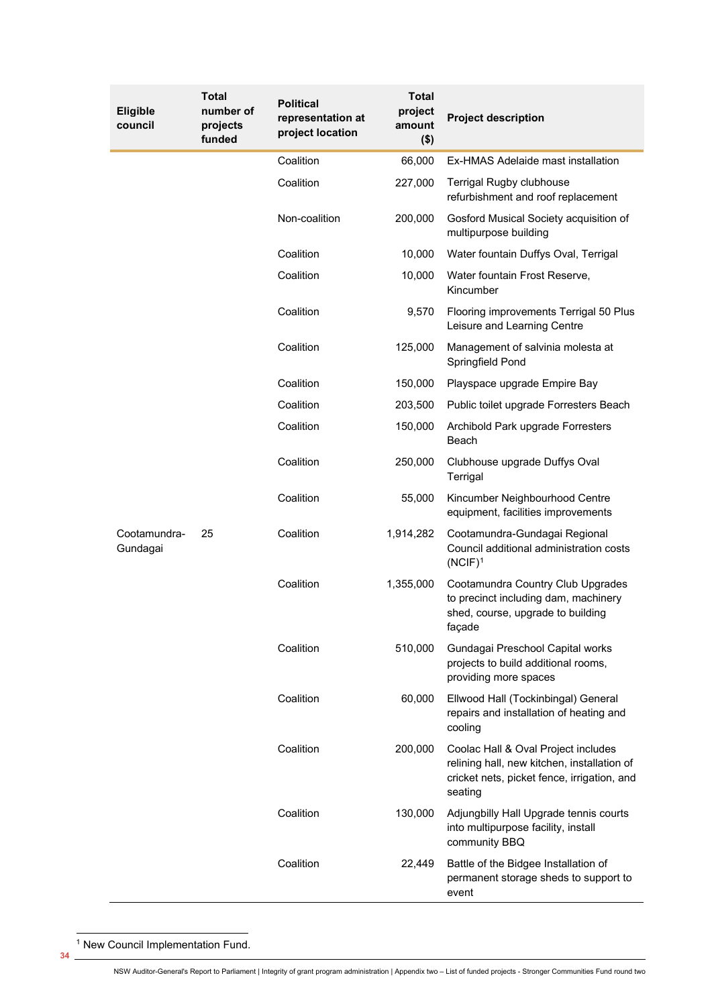<span id="page-1-0"></span>

| <b>Eligible</b><br>council | Total<br>number of<br>projects<br>funded | <b>Political</b><br>representation at<br>project location | <b>Total</b><br>project<br>amount<br>$($ \$) | <b>Project description</b>                                                                                                                   |
|----------------------------|------------------------------------------|-----------------------------------------------------------|----------------------------------------------|----------------------------------------------------------------------------------------------------------------------------------------------|
|                            |                                          | Coalition                                                 | 66,000                                       | Ex-HMAS Adelaide mast installation                                                                                                           |
|                            |                                          | Coalition                                                 | 227,000                                      | <b>Terrigal Rugby clubhouse</b><br>refurbishment and roof replacement                                                                        |
|                            |                                          | Non-coalition                                             | 200,000                                      | Gosford Musical Society acquisition of<br>multipurpose building                                                                              |
|                            |                                          | Coalition                                                 | 10,000                                       | Water fountain Duffys Oval, Terrigal                                                                                                         |
|                            |                                          | Coalition                                                 | 10,000                                       | Water fountain Frost Reserve,<br>Kincumber                                                                                                   |
|                            |                                          | Coalition                                                 | 9,570                                        | Flooring improvements Terrigal 50 Plus<br>Leisure and Learning Centre                                                                        |
|                            |                                          | Coalition                                                 | 125,000                                      | Management of salvinia molesta at<br>Springfield Pond                                                                                        |
|                            |                                          | Coalition                                                 | 150,000                                      | Playspace upgrade Empire Bay                                                                                                                 |
|                            |                                          | Coalition                                                 | 203,500                                      | Public toilet upgrade Forresters Beach                                                                                                       |
| Cootamundra-<br>Gundagai   | 25                                       | Coalition                                                 | 150,000                                      | Archibold Park upgrade Forresters<br>Beach                                                                                                   |
|                            |                                          | Coalition                                                 | 250,000                                      | Clubhouse upgrade Duffys Oval<br>Terrigal                                                                                                    |
|                            |                                          | Coalition                                                 | 55,000                                       | Kincumber Neighbourhood Centre<br>equipment, facilities improvements                                                                         |
|                            |                                          | Coalition                                                 | 1,914,282                                    | Cootamundra-Gundagai Regional<br>Council additional administration costs<br>$(NCIF)^1$                                                       |
|                            |                                          | Coalition                                                 | 1,355,000                                    | Cootamundra Country Club Upgrades<br>to precinct including dam, machinery<br>shed, course, upgrade to building<br>façade                     |
|                            |                                          | Coalition                                                 | 510,000                                      | Gundagai Preschool Capital works<br>projects to build additional rooms,<br>providing more spaces                                             |
|                            |                                          | Coalition                                                 | 60,000                                       | Ellwood Hall (Tockinbingal) General<br>repairs and installation of heating and<br>cooling                                                    |
|                            |                                          | Coalition                                                 | 200,000                                      | Coolac Hall & Oval Project includes<br>relining hall, new kitchen, installation of<br>cricket nets, picket fence, irrigation, and<br>seating |
|                            |                                          | Coalition                                                 | 130,000                                      | Adjungbilly Hall Upgrade tennis courts<br>into multipurpose facility, install<br>community BBQ                                               |
|                            |                                          | Coalition                                                 | 22,449                                       | Battle of the Bidgee Installation of<br>permanent storage sheds to support to<br>event                                                       |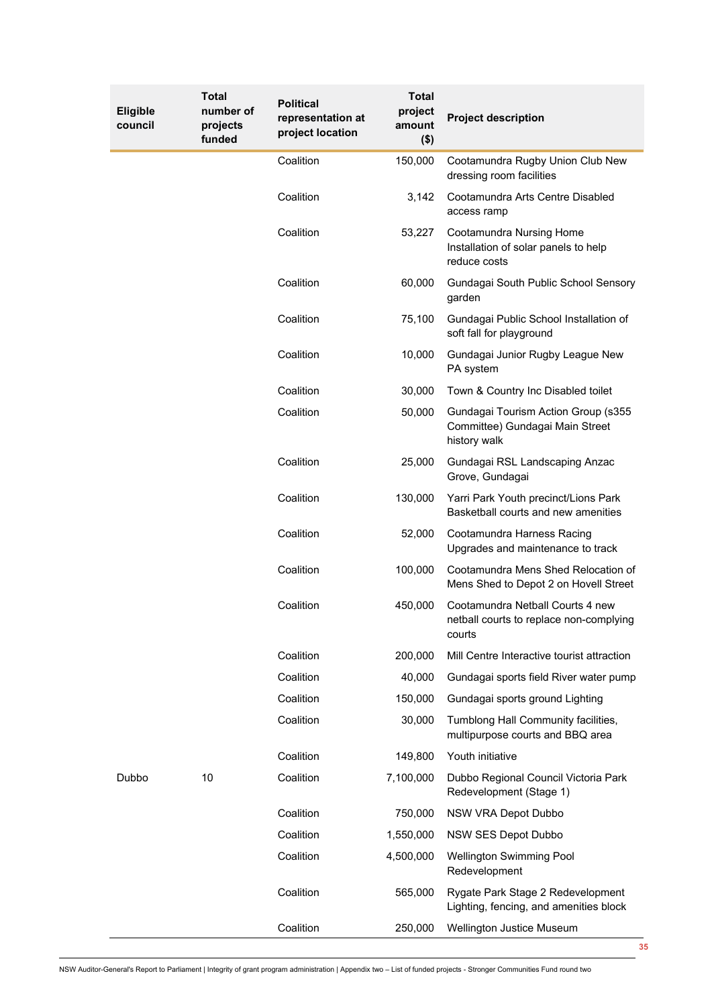| <b>Eligible</b><br>council | <b>Total</b><br>number of<br>projects<br>funded | <b>Political</b><br>representation at<br>project location | <b>Total</b><br>project<br>amount<br>$($ \$) | <b>Project description</b>                                                             |
|----------------------------|-------------------------------------------------|-----------------------------------------------------------|----------------------------------------------|----------------------------------------------------------------------------------------|
|                            |                                                 | Coalition                                                 | 150,000                                      | Cootamundra Rugby Union Club New<br>dressing room facilities                           |
|                            |                                                 | Coalition                                                 | 3,142                                        | Cootamundra Arts Centre Disabled<br>access ramp                                        |
|                            |                                                 | Coalition                                                 | 53,227                                       | Cootamundra Nursing Home<br>Installation of solar panels to help<br>reduce costs       |
|                            |                                                 | Coalition                                                 | 60,000                                       | Gundagai South Public School Sensory<br>garden                                         |
|                            |                                                 | Coalition                                                 | 75,100                                       | Gundagai Public School Installation of<br>soft fall for playground                     |
|                            |                                                 | Coalition                                                 | 10,000                                       | Gundagai Junior Rugby League New<br>PA system                                          |
|                            |                                                 | Coalition                                                 | 30,000                                       | Town & Country Inc Disabled toilet                                                     |
|                            |                                                 | Coalition                                                 | 50,000                                       | Gundagai Tourism Action Group (s355<br>Committee) Gundagai Main Street<br>history walk |
|                            |                                                 | Coalition                                                 | 25,000                                       | Gundagai RSL Landscaping Anzac<br>Grove, Gundagai                                      |
|                            |                                                 | Coalition                                                 | 130,000                                      | Yarri Park Youth precinct/Lions Park<br>Basketball courts and new amenities            |
|                            |                                                 | Coalition                                                 | 52,000                                       | Cootamundra Harness Racing<br>Upgrades and maintenance to track                        |
|                            |                                                 | Coalition                                                 | 100,000                                      | Cootamundra Mens Shed Relocation of<br>Mens Shed to Depot 2 on Hovell Street           |
|                            |                                                 | Coalition                                                 | 450,000                                      | Cootamundra Netball Courts 4 new<br>netball courts to replace non-complying<br>courts  |
|                            |                                                 | Coalition                                                 | 200,000                                      | Mill Centre Interactive tourist attraction                                             |
|                            |                                                 | Coalition                                                 | 40,000                                       | Gundagai sports field River water pump                                                 |
|                            |                                                 | Coalition                                                 | 150,000                                      | Gundagai sports ground Lighting                                                        |
|                            |                                                 | Coalition                                                 | 30,000                                       | Tumblong Hall Community facilities,<br>multipurpose courts and BBQ area                |
|                            |                                                 | Coalition                                                 | 149,800                                      | Youth initiative                                                                       |
| Dubbo                      | 10                                              | Coalition                                                 | 7,100,000                                    | Dubbo Regional Council Victoria Park<br>Redevelopment (Stage 1)                        |
|                            |                                                 | Coalition                                                 | 750,000                                      | NSW VRA Depot Dubbo                                                                    |
|                            |                                                 | Coalition                                                 | 1,550,000                                    | NSW SES Depot Dubbo                                                                    |
|                            |                                                 | Coalition                                                 | 4,500,000                                    | Wellington Swimming Pool<br>Redevelopment                                              |
|                            |                                                 | Coalition                                                 | 565,000                                      | Rygate Park Stage 2 Redevelopment<br>Lighting, fencing, and amenities block            |
|                            |                                                 | Coalition                                                 | 250,000                                      | Wellington Justice Museum<br>35                                                        |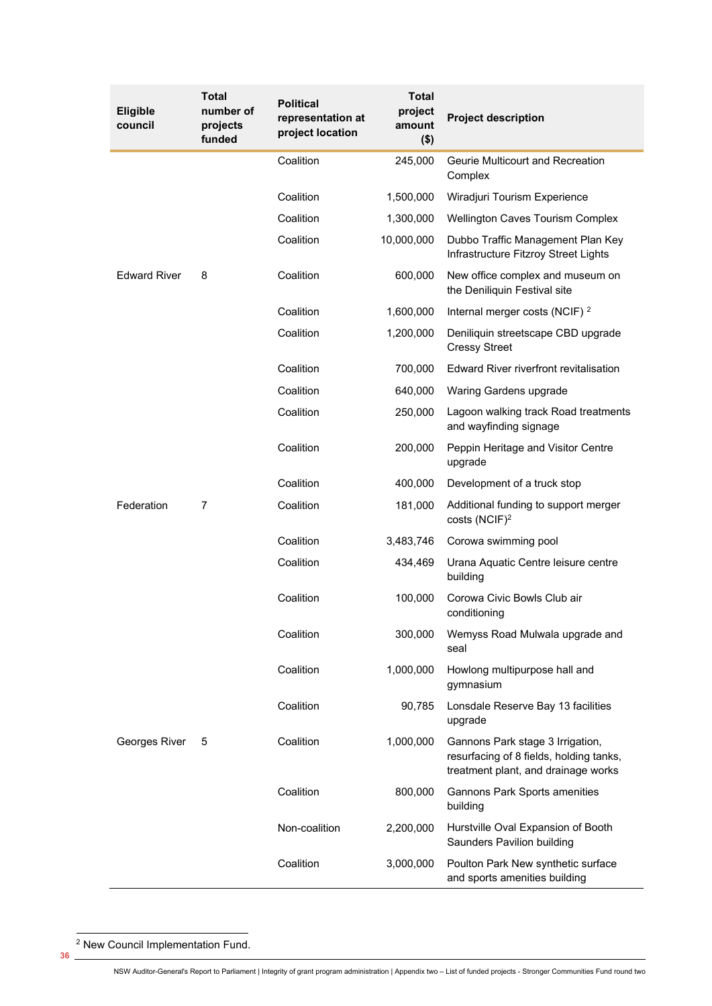<span id="page-3-0"></span>

| <b>Eligible</b><br>council | Total<br>number of<br>projects<br>funded | <b>Political</b><br>representation at<br>project location | <b>Total</b><br>project<br>amount<br>$($ \$) | <b>Project description</b>                                                                                         |
|----------------------------|------------------------------------------|-----------------------------------------------------------|----------------------------------------------|--------------------------------------------------------------------------------------------------------------------|
|                            |                                          | Coalition                                                 | 245,000                                      | Geurie Multicourt and Recreation<br>Complex                                                                        |
|                            |                                          | Coalition                                                 | 1,500,000                                    | Wiradjuri Tourism Experience                                                                                       |
|                            |                                          | Coalition                                                 | 1,300,000                                    | <b>Wellington Caves Tourism Complex</b>                                                                            |
|                            |                                          | Coalition                                                 | 10,000,000                                   | Dubbo Traffic Management Plan Key<br>Infrastructure Fitzroy Street Lights                                          |
| <b>Edward River</b>        | 8                                        | Coalition                                                 | 600,000                                      | New office complex and museum on<br>the Deniliquin Festival site                                                   |
|                            |                                          | Coalition                                                 | 1,600,000                                    | Internal merger costs (NCIF) <sup>2</sup>                                                                          |
|                            |                                          | Coalition                                                 | 1,200,000                                    | Deniliquin streetscape CBD upgrade<br><b>Cressy Street</b>                                                         |
|                            |                                          | Coalition                                                 | 700,000                                      | Edward River riverfront revitalisation                                                                             |
|                            |                                          | Coalition                                                 | 640,000                                      | Waring Gardens upgrade                                                                                             |
|                            |                                          | Coalition                                                 | 250,000                                      | Lagoon walking track Road treatments<br>and wayfinding signage                                                     |
|                            |                                          | Coalition                                                 | 200,000                                      | Peppin Heritage and Visitor Centre<br>upgrade                                                                      |
|                            |                                          | Coalition                                                 | 400,000                                      | Development of a truck stop                                                                                        |
| Federation                 | $\overline{7}$                           | Coalition                                                 | 181,000                                      | Additional funding to support merger<br>costs (NCIF) <sup>2</sup>                                                  |
|                            |                                          | Coalition                                                 | 3,483,746                                    | Corowa swimming pool                                                                                               |
|                            |                                          | Coalition                                                 | 434,469                                      | Urana Aquatic Centre leisure centre<br>building                                                                    |
|                            |                                          | Coalition                                                 | 100,000                                      | Corowa Civic Bowls Club air<br>conditioning                                                                        |
|                            |                                          | Coalition                                                 | 300,000                                      | Wemyss Road Mulwala upgrade and<br>seal                                                                            |
|                            |                                          | Coalition                                                 | 1,000,000                                    | Howlong multipurpose hall and<br>gymnasium                                                                         |
| Georges River              | 5                                        | Coalition                                                 | 90,785                                       | Lonsdale Reserve Bay 13 facilities<br>upgrade                                                                      |
|                            |                                          | Coalition                                                 | 1,000,000                                    | Gannons Park stage 3 Irrigation,<br>resurfacing of 8 fields, holding tanks,<br>treatment plant, and drainage works |
|                            |                                          | Coalition                                                 | 800,000                                      | Gannons Park Sports amenities<br>building                                                                          |
|                            |                                          | Non-coalition                                             | 2,200,000                                    | Hurstville Oval Expansion of Booth<br>Saunders Pavilion building                                                   |
|                            |                                          | Coalition                                                 | 3,000,000                                    | Poulton Park New synthetic surface<br>and sports amenities building                                                |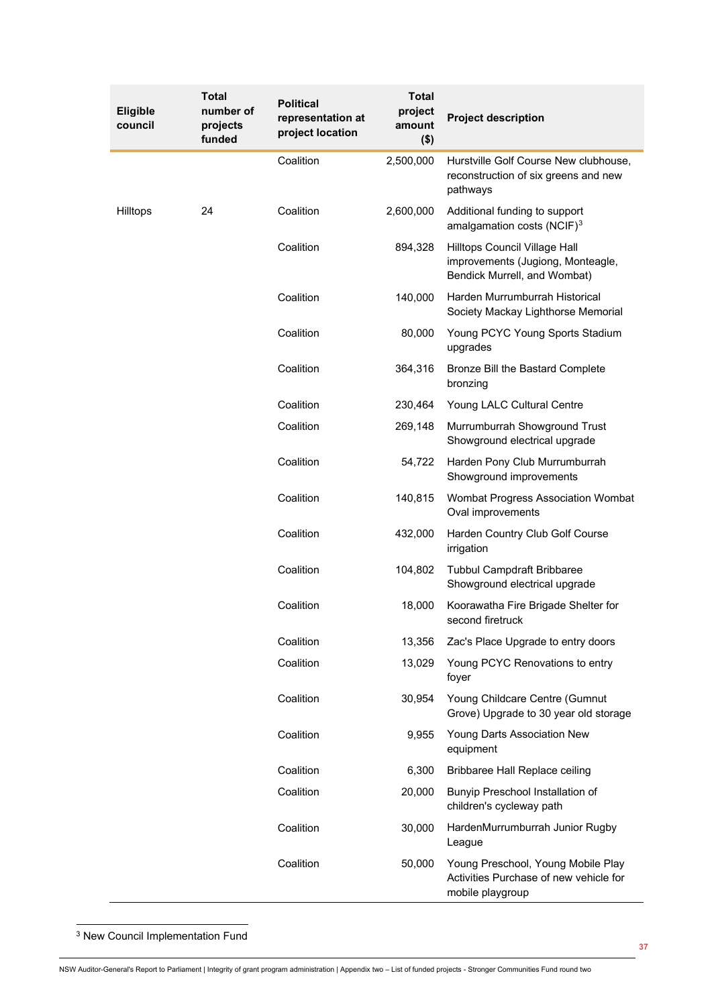<span id="page-4-0"></span>

| Eligible<br>council | Total<br>number of<br>projects<br>funded | <b>Political</b><br>representation at<br>project location | <b>Total</b><br>project<br>amount<br>$($ \$) | <b>Project description</b>                                                                         |
|---------------------|------------------------------------------|-----------------------------------------------------------|----------------------------------------------|----------------------------------------------------------------------------------------------------|
|                     |                                          | Coalition                                                 | 2,500,000                                    | Hurstville Golf Course New clubhouse,<br>reconstruction of six greens and new<br>pathways          |
| Hilltops            | 24                                       | Coalition                                                 | 2,600,000                                    | Additional funding to support<br>amalgamation costs (NCIF) <sup>3</sup>                            |
|                     |                                          | Coalition                                                 | 894,328                                      | Hilltops Council Village Hall<br>improvements (Jugiong, Monteagle,<br>Bendick Murrell, and Wombat) |
|                     |                                          | Coalition                                                 | 140,000                                      | Harden Murrumburrah Historical<br>Society Mackay Lighthorse Memorial                               |
|                     |                                          | Coalition                                                 | 80,000                                       | Young PCYC Young Sports Stadium<br>upgrades                                                        |
|                     |                                          | Coalition                                                 | 364,316                                      | Bronze Bill the Bastard Complete<br>bronzing                                                       |
|                     |                                          | Coalition                                                 | 230,464                                      | Young LALC Cultural Centre                                                                         |
|                     |                                          | Coalition                                                 | 269,148                                      | Murrumburrah Showground Trust<br>Showground electrical upgrade                                     |
|                     |                                          | Coalition                                                 | 54,722                                       | Harden Pony Club Murrumburrah<br>Showground improvements                                           |
|                     |                                          | Coalition                                                 | 140,815                                      | Wombat Progress Association Wombat<br>Oval improvements                                            |
|                     |                                          | Coalition                                                 | 432,000                                      | Harden Country Club Golf Course<br>irrigation                                                      |
|                     |                                          | Coalition                                                 | 104,802                                      | <b>Tubbul Campdraft Bribbaree</b><br>Showground electrical upgrade                                 |
|                     |                                          | Coalition                                                 | 18,000                                       | Koorawatha Fire Brigade Shelter for<br>second firetruck                                            |
|                     |                                          | Coalition                                                 | 13,356                                       | Zac's Place Upgrade to entry doors                                                                 |
|                     |                                          | Coalition                                                 | 13,029                                       | Young PCYC Renovations to entry<br>foyer                                                           |
|                     |                                          | Coalition                                                 | 30,954                                       | Young Childcare Centre (Gumnut<br>Grove) Upgrade to 30 year old storage                            |
|                     |                                          | Coalition                                                 | 9,955                                        | Young Darts Association New<br>equipment                                                           |
|                     |                                          | Coalition                                                 | 6,300                                        | Bribbaree Hall Replace ceiling                                                                     |
|                     |                                          | Coalition                                                 | 20,000                                       | Bunyip Preschool Installation of<br>children's cycleway path                                       |
|                     |                                          | Coalition                                                 | 30,000                                       | HardenMurrumburrah Junior Rugby<br>League                                                          |
|                     |                                          | Coalition                                                 | 50,000                                       | Young Preschool, Young Mobile Play<br>Activities Purchase of new vehicle for<br>mobile playgroup   |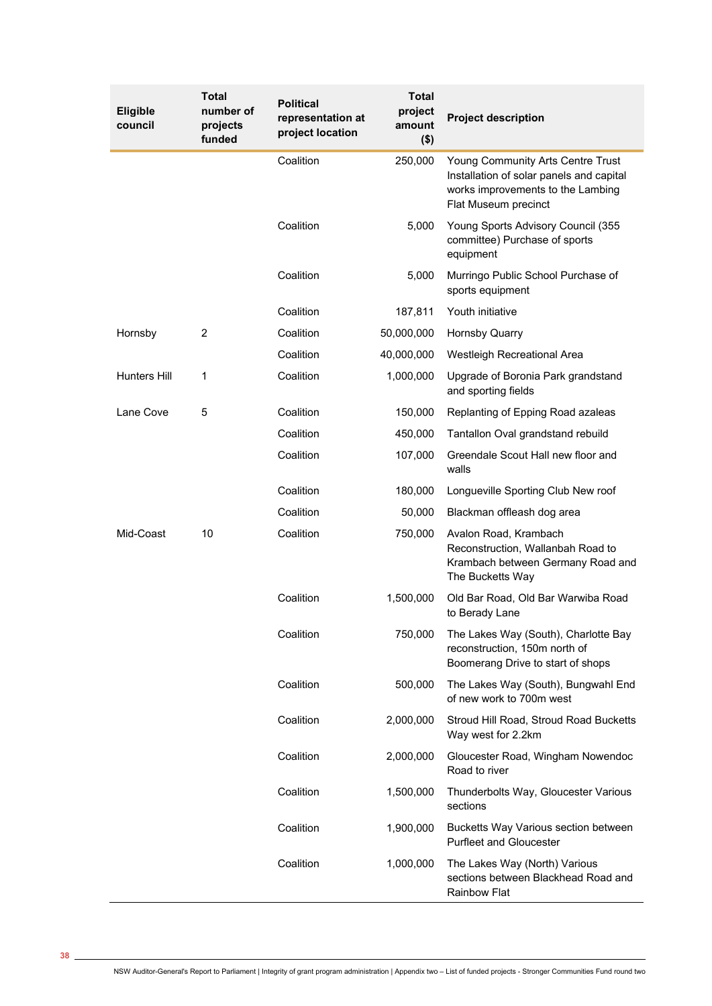| <b>Eligible</b><br>council | <b>Total</b><br>number of<br>projects<br>funded | <b>Political</b><br>representation at<br>project location | <b>Total</b><br>project<br>amount<br>$($ \$) | <b>Project description</b>                                                                                                                 |
|----------------------------|-------------------------------------------------|-----------------------------------------------------------|----------------------------------------------|--------------------------------------------------------------------------------------------------------------------------------------------|
|                            |                                                 | Coalition                                                 | 250,000                                      | Young Community Arts Centre Trust<br>Installation of solar panels and capital<br>works improvements to the Lambing<br>Flat Museum precinct |
|                            |                                                 | Coalition                                                 | 5,000                                        | Young Sports Advisory Council (355<br>committee) Purchase of sports<br>equipment                                                           |
|                            |                                                 | Coalition                                                 | 5,000                                        | Murringo Public School Purchase of<br>sports equipment                                                                                     |
|                            |                                                 | Coalition                                                 | 187,811                                      | Youth initiative                                                                                                                           |
| Hornsby                    | $\overline{c}$                                  | Coalition                                                 | 50,000,000                                   | <b>Hornsby Quarry</b>                                                                                                                      |
|                            |                                                 | Coalition                                                 | 40,000,000                                   | Westleigh Recreational Area                                                                                                                |
| <b>Hunters Hill</b>        | 1                                               | Coalition                                                 | 1,000,000                                    | Upgrade of Boronia Park grandstand<br>and sporting fields                                                                                  |
| Lane Cove                  | 5                                               | Coalition                                                 | 150,000                                      | Replanting of Epping Road azaleas                                                                                                          |
|                            |                                                 | Coalition                                                 | 450,000                                      | Tantallon Oval grandstand rebuild                                                                                                          |
|                            |                                                 | Coalition                                                 | 107,000                                      | Greendale Scout Hall new floor and<br>walls                                                                                                |
|                            |                                                 | Coalition                                                 | 180,000                                      | Longueville Sporting Club New roof                                                                                                         |
|                            |                                                 | Coalition                                                 | 50,000                                       | Blackman offleash dog area                                                                                                                 |
| Mid-Coast                  | 10                                              | Coalition                                                 | 750,000                                      | Avalon Road, Krambach<br>Reconstruction, Wallanbah Road to<br>Krambach between Germany Road and<br>The Bucketts Way                        |
|                            |                                                 | Coalition                                                 | 1,500,000                                    | Old Bar Road, Old Bar Warwiba Road<br>to Berady Lane                                                                                       |
|                            |                                                 | Coalition                                                 | 750,000                                      | The Lakes Way (South), Charlotte Bay<br>reconstruction, 150m north of<br>Boomerang Drive to start of shops                                 |
|                            |                                                 | Coalition                                                 | 500,000                                      | The Lakes Way (South), Bungwahl End<br>of new work to 700m west                                                                            |
|                            |                                                 | Coalition                                                 | 2,000,000                                    | Stroud Hill Road, Stroud Road Bucketts<br>Way west for 2.2km                                                                               |
|                            |                                                 | Coalition                                                 | 2,000,000                                    | Gloucester Road, Wingham Nowendoc<br>Road to river                                                                                         |
|                            |                                                 | Coalition                                                 | 1,500,000                                    | Thunderbolts Way, Gloucester Various<br>sections                                                                                           |
|                            |                                                 | Coalition                                                 | 1,900,000                                    | Bucketts Way Various section between<br><b>Purfleet and Gloucester</b>                                                                     |
|                            |                                                 | Coalition                                                 | 1,000,000                                    | The Lakes Way (North) Various<br>sections between Blackhead Road and<br>Rainbow Flat                                                       |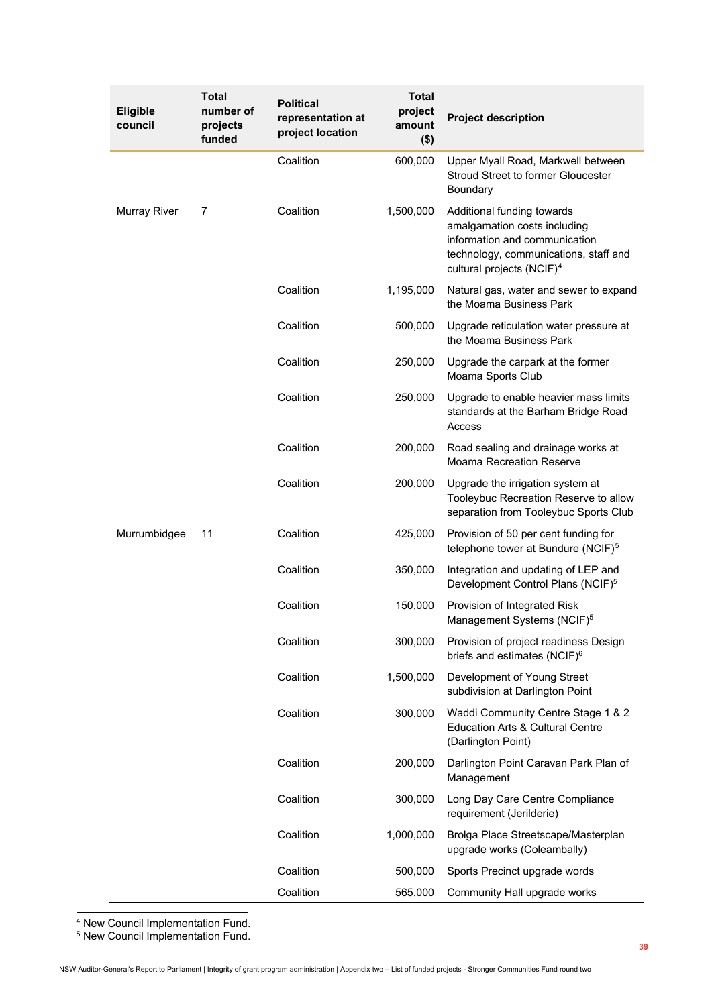| <b>Eligible</b><br>council | <b>Total</b><br>number of<br>projects<br>funded | <b>Political</b><br>representation at<br>project location | <b>Total</b><br>project<br>amount<br>$($ \$) | <b>Project description</b>                                                                                                                                                    |
|----------------------------|-------------------------------------------------|-----------------------------------------------------------|----------------------------------------------|-------------------------------------------------------------------------------------------------------------------------------------------------------------------------------|
|                            |                                                 | Coalition                                                 | 600,000                                      | Upper Myall Road, Markwell between<br><b>Stroud Street to former Gloucester</b><br>Boundary                                                                                   |
| <b>Murray River</b>        | 7                                               | Coalition                                                 | 1,500,000                                    | Additional funding towards<br>amalgamation costs including<br>information and communication<br>technology, communications, staff and<br>cultural projects (NCIF) <sup>4</sup> |
|                            |                                                 | Coalition                                                 | 1,195,000                                    | Natural gas, water and sewer to expand<br>the Moama Business Park                                                                                                             |
|                            |                                                 | Coalition                                                 | 500,000                                      | Upgrade reticulation water pressure at<br>the Moama Business Park                                                                                                             |
|                            |                                                 | Coalition                                                 | 250,000                                      | Upgrade the carpark at the former<br>Moama Sports Club                                                                                                                        |
|                            |                                                 | Coalition                                                 | 250,000                                      | Upgrade to enable heavier mass limits<br>standards at the Barham Bridge Road<br>Access                                                                                        |
|                            |                                                 | Coalition                                                 | 200,000                                      | Road sealing and drainage works at<br><b>Moama Recreation Reserve</b>                                                                                                         |
|                            |                                                 | Coalition                                                 | 200,000                                      | Upgrade the irrigation system at<br>Tooleybuc Recreation Reserve to allow<br>separation from Tooleybuc Sports Club                                                            |
| Murrumbidgee               | 11                                              | Coalition                                                 | 425,000                                      | Provision of 50 per cent funding for<br>telephone tower at Bundure (NCIF) <sup>5</sup>                                                                                        |
|                            |                                                 | Coalition                                                 | 350,000                                      | Integration and updating of LEP and<br>Development Control Plans (NCIF) <sup>5</sup>                                                                                          |
|                            |                                                 | Coalition                                                 | 150,000                                      | Provision of Integrated Risk<br>Management Systems (NCIF) <sup>5</sup>                                                                                                        |
|                            |                                                 | Coalition                                                 | 300,000                                      | Provision of project readiness Design<br>briefs and estimates (NCIF) <sup>6</sup>                                                                                             |
|                            |                                                 | Coalition                                                 | 1,500,000                                    | Development of Young Street<br>subdivision at Darlington Point                                                                                                                |
|                            |                                                 | Coalition                                                 | 300,000                                      | Waddi Community Centre Stage 1 & 2<br><b>Education Arts &amp; Cultural Centre</b><br>(Darlington Point)                                                                       |
|                            |                                                 | Coalition                                                 | 200,000                                      | Darlington Point Caravan Park Plan of<br>Management                                                                                                                           |
|                            |                                                 | Coalition                                                 | 300,000                                      | Long Day Care Centre Compliance<br>requirement (Jerilderie)                                                                                                                   |
|                            |                                                 | Coalition                                                 | 1,000,000                                    | Brolga Place Streetscape/Masterplan<br>upgrade works (Coleambally)                                                                                                            |
|                            |                                                 | Coalition                                                 | 500,000                                      | Sports Precinct upgrade words                                                                                                                                                 |
|                            |                                                 | Coalition                                                 | 565,000                                      | Community Hall upgrade works                                                                                                                                                  |

<sup>4</sup> New Council Implementation Fund.

<sup>5</sup> New Council Implementation Fund.

<span id="page-6-1"></span><span id="page-6-0"></span>NSW Auditor-General's Report to Parliament | Integrity of grant program administration | Appendix two – List of funded projects - Stronger Communities Fund round two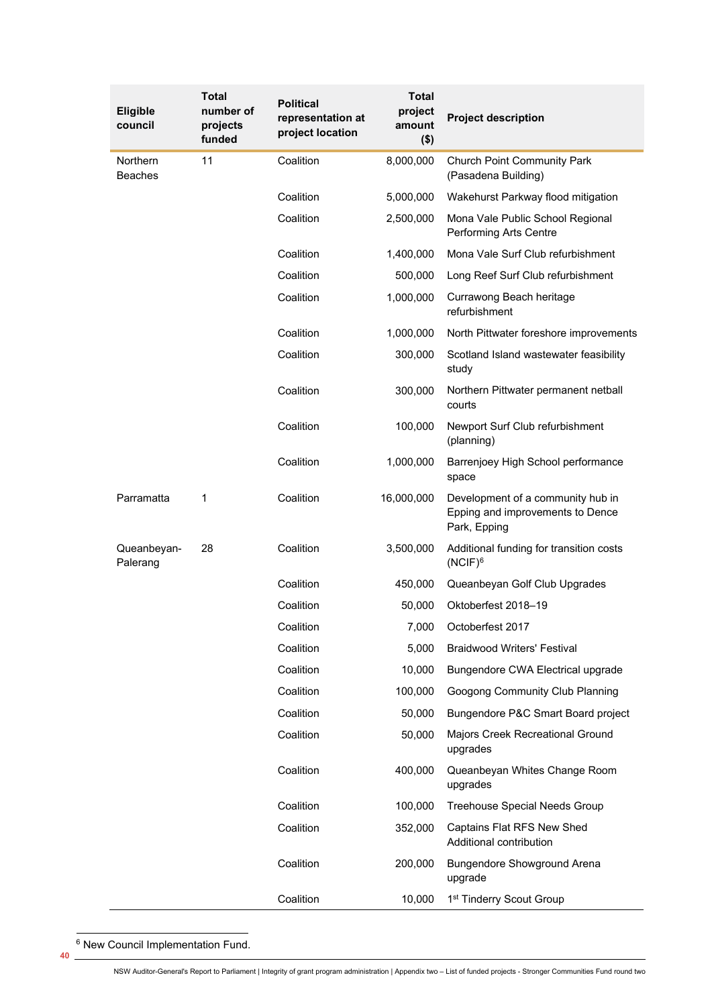| <b>Eligible</b><br>council | Total<br>number of<br>projects<br>funded | <b>Political</b><br>representation at<br>project location | <b>Total</b><br>project<br>amount<br>$($ \$) | <b>Project description</b>                                                            |
|----------------------------|------------------------------------------|-----------------------------------------------------------|----------------------------------------------|---------------------------------------------------------------------------------------|
| Northern<br><b>Beaches</b> | 11                                       | Coalition                                                 | 8,000,000                                    | <b>Church Point Community Park</b><br>(Pasadena Building)                             |
|                            |                                          | Coalition                                                 | 5,000,000                                    | Wakehurst Parkway flood mitigation                                                    |
|                            |                                          | Coalition                                                 | 2,500,000                                    | Mona Vale Public School Regional<br><b>Performing Arts Centre</b>                     |
|                            |                                          | Coalition                                                 | 1,400,000                                    | Mona Vale Surf Club refurbishment                                                     |
|                            |                                          | Coalition                                                 | 500,000                                      | Long Reef Surf Club refurbishment                                                     |
|                            |                                          | Coalition                                                 | 1,000,000                                    | Currawong Beach heritage<br>refurbishment                                             |
|                            |                                          | Coalition                                                 | 1,000,000                                    | North Pittwater foreshore improvements                                                |
|                            |                                          | Coalition                                                 | 300,000                                      | Scotland Island wastewater feasibility<br>study                                       |
|                            |                                          | Coalition                                                 | 300,000                                      | Northern Pittwater permanent netball<br>courts                                        |
|                            |                                          | Coalition                                                 | 100,000                                      | Newport Surf Club refurbishment<br>(planning)                                         |
|                            |                                          | Coalition                                                 | 1,000,000                                    | Barrenjoey High School performance<br>space                                           |
| Parramatta                 | 1                                        | Coalition                                                 | 16,000,000                                   | Development of a community hub in<br>Epping and improvements to Dence<br>Park, Epping |
| Queanbeyan-<br>Palerang    | 28                                       | Coalition                                                 | 3,500,000                                    | Additional funding for transition costs<br>$(NCIF)^6$                                 |
|                            |                                          | Coalition                                                 | 450,000                                      | Queanbeyan Golf Club Upgrades                                                         |
|                            |                                          | Coalition                                                 | 50,000                                       | Oktoberfest 2018-19                                                                   |
|                            |                                          | Coalition                                                 | 7,000                                        | Octoberfest 2017                                                                      |
|                            |                                          | Coalition                                                 | 5,000                                        | <b>Braidwood Writers' Festival</b>                                                    |
|                            |                                          | Coalition                                                 | 10,000                                       | Bungendore CWA Electrical upgrade                                                     |
|                            |                                          | Coalition                                                 | 100,000                                      | Googong Community Club Planning                                                       |
|                            |                                          | Coalition                                                 | 50,000                                       | Bungendore P&C Smart Board project                                                    |
|                            |                                          | Coalition                                                 | 50,000                                       | Majors Creek Recreational Ground<br>upgrades                                          |
|                            |                                          | Coalition                                                 | 400,000                                      | Queanbeyan Whites Change Room<br>upgrades                                             |
|                            |                                          | Coalition                                                 | 100,000                                      | Treehouse Special Needs Group                                                         |
|                            |                                          | Coalition                                                 | 352,000                                      | Captains Flat RFS New Shed<br>Additional contribution                                 |
|                            |                                          | Coalition                                                 | 200,000                                      | Bungendore Showground Arena<br>upgrade                                                |
|                            |                                          | Coalition                                                 | 10,000                                       | 1 <sup>st</sup> Tinderry Scout Group                                                  |

NSW Auditor-General's Report to Parliament | Integrity of grant program administration | Appendix two – List of funded projects - Stronger Communities Fund round two

<span id="page-7-0"></span>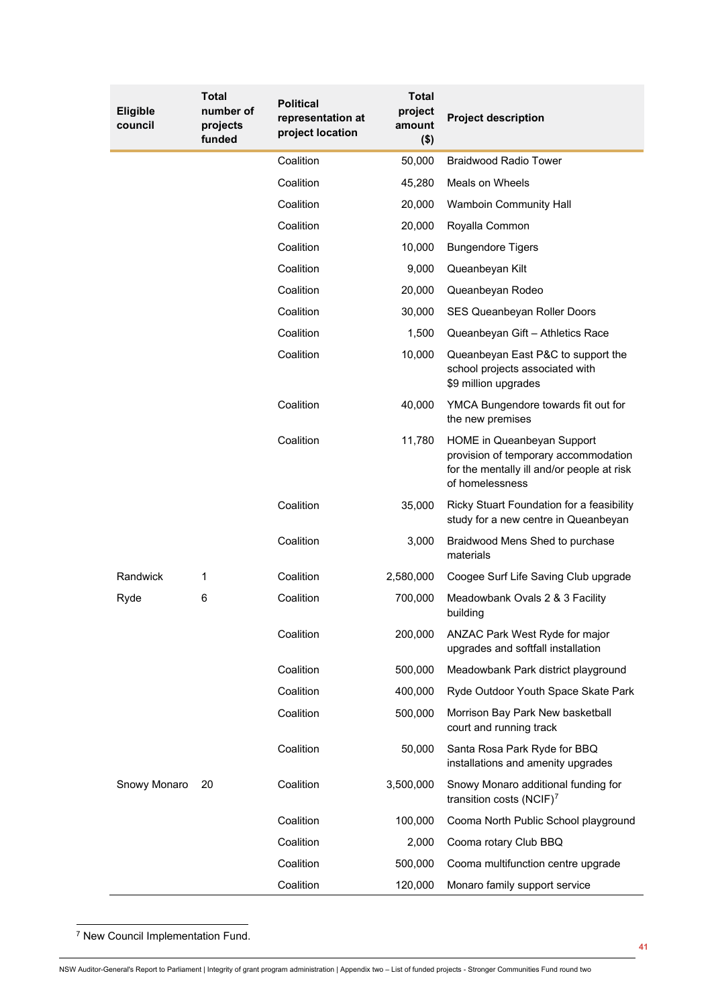<span id="page-8-0"></span>

| <b>Eligible</b><br>council | Total<br>number of<br>projects<br>funded | <b>Political</b><br>representation at<br>project location | Total<br>project<br>amount<br>$($ \$) | <b>Project description</b>                                                                                                          |
|----------------------------|------------------------------------------|-----------------------------------------------------------|---------------------------------------|-------------------------------------------------------------------------------------------------------------------------------------|
|                            |                                          | Coalition                                                 | 50,000                                | <b>Braidwood Radio Tower</b>                                                                                                        |
|                            |                                          | Coalition                                                 | 45,280                                | Meals on Wheels                                                                                                                     |
|                            |                                          | Coalition                                                 | 20,000                                | Wamboin Community Hall                                                                                                              |
|                            |                                          | Coalition                                                 | 20,000                                | Royalla Common                                                                                                                      |
|                            |                                          | Coalition                                                 | 10,000                                | <b>Bungendore Tigers</b>                                                                                                            |
|                            |                                          | Coalition                                                 | 9,000                                 | Queanbeyan Kilt                                                                                                                     |
|                            |                                          | Coalition                                                 | 20,000                                | Queanbeyan Rodeo                                                                                                                    |
|                            |                                          | Coalition                                                 | 30,000                                | SES Queanbeyan Roller Doors                                                                                                         |
|                            |                                          | Coalition                                                 | 1,500                                 | Queanbeyan Gift - Athletics Race                                                                                                    |
|                            |                                          | Coalition                                                 | 10,000                                | Queanbeyan East P&C to support the<br>school projects associated with<br>\$9 million upgrades                                       |
|                            |                                          | Coalition                                                 | 40,000                                | YMCA Bungendore towards fit out for<br>the new premises                                                                             |
|                            |                                          | Coalition                                                 | 11,780                                | HOME in Queanbeyan Support<br>provision of temporary accommodation<br>for the mentally ill and/or people at risk<br>of homelessness |
|                            |                                          | Coalition                                                 | 35,000                                | Ricky Stuart Foundation for a feasibility<br>study for a new centre in Queanbeyan                                                   |
|                            |                                          | Coalition                                                 | 3,000                                 | Braidwood Mens Shed to purchase<br>materials                                                                                        |
| Randwick                   | 1                                        | Coalition                                                 | 2,580,000                             | Coogee Surf Life Saving Club upgrade                                                                                                |
| Ryde                       | 6                                        | Coalition                                                 | 700,000                               | Meadowbank Ovals 2 & 3 Facility<br>building                                                                                         |
|                            |                                          | Coalition                                                 | 200,000                               | ANZAC Park West Ryde for major<br>upgrades and softfall installation                                                                |
|                            |                                          | Coalition                                                 | 500,000                               | Meadowbank Park district playground                                                                                                 |
|                            |                                          | Coalition                                                 | 400,000                               | Ryde Outdoor Youth Space Skate Park                                                                                                 |
|                            |                                          | Coalition                                                 | 500,000                               | Morrison Bay Park New basketball<br>court and running track                                                                         |
|                            |                                          | Coalition                                                 | 50,000                                | Santa Rosa Park Ryde for BBQ<br>installations and amenity upgrades                                                                  |
| Snowy Monaro               | 20                                       | Coalition                                                 | 3,500,000                             | Snowy Monaro additional funding for<br>transition costs (NCIF) $^7$                                                                 |
|                            |                                          | Coalition                                                 | 100,000                               | Cooma North Public School playground                                                                                                |
|                            |                                          | Coalition                                                 | 2,000                                 | Cooma rotary Club BBQ                                                                                                               |
|                            |                                          | Coalition                                                 | 500,000                               | Cooma multifunction centre upgrade                                                                                                  |
|                            |                                          | Coalition                                                 | 120,000                               | Monaro family support service                                                                                                       |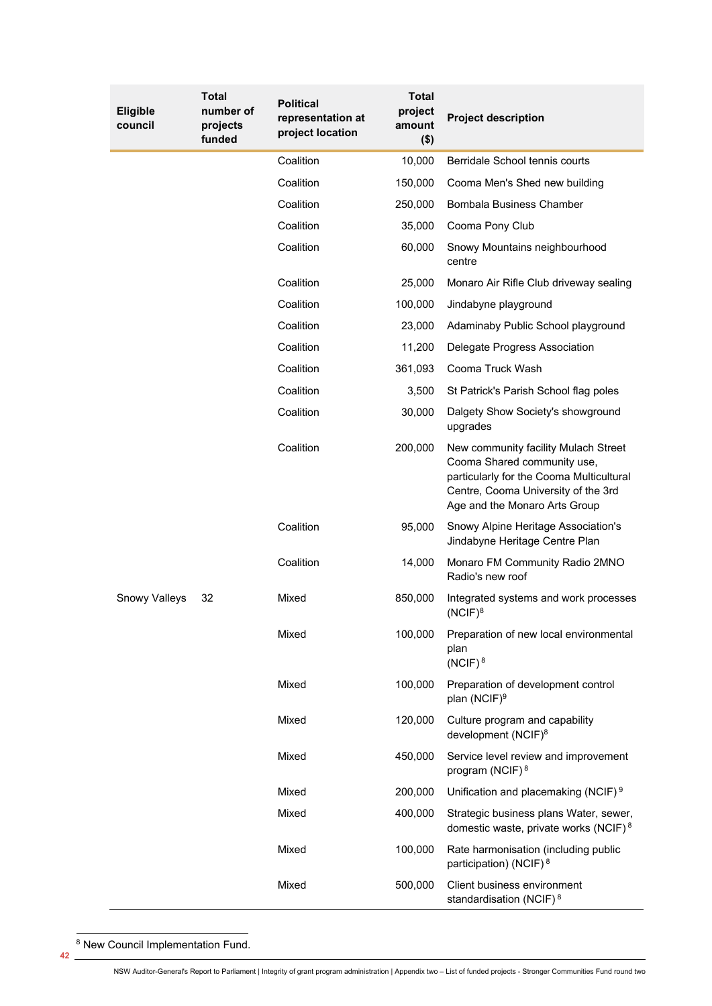| <b>Eligible</b><br>council | <b>Total</b><br>number of<br>projects<br>funded | <b>Political</b><br>representation at<br>project location | <b>Total</b><br>project<br>amount<br>$($ \$) | <b>Project description</b>                                                                                                                                                              |
|----------------------------|-------------------------------------------------|-----------------------------------------------------------|----------------------------------------------|-----------------------------------------------------------------------------------------------------------------------------------------------------------------------------------------|
|                            |                                                 | Coalition                                                 | 10,000                                       | Berridale School tennis courts                                                                                                                                                          |
|                            |                                                 | Coalition                                                 | 150,000                                      | Cooma Men's Shed new building                                                                                                                                                           |
|                            |                                                 | Coalition                                                 | 250,000                                      | Bombala Business Chamber                                                                                                                                                                |
|                            |                                                 | Coalition                                                 | 35,000                                       | Cooma Pony Club                                                                                                                                                                         |
|                            |                                                 | Coalition                                                 | 60,000                                       | Snowy Mountains neighbourhood<br>centre                                                                                                                                                 |
|                            |                                                 | Coalition                                                 | 25,000                                       | Monaro Air Rifle Club driveway sealing                                                                                                                                                  |
|                            |                                                 | Coalition                                                 | 100,000                                      | Jindabyne playground                                                                                                                                                                    |
|                            |                                                 | Coalition                                                 | 23,000                                       | Adaminaby Public School playground                                                                                                                                                      |
|                            |                                                 | Coalition                                                 | 11,200                                       | Delegate Progress Association                                                                                                                                                           |
|                            |                                                 | Coalition                                                 | 361,093                                      | Cooma Truck Wash                                                                                                                                                                        |
|                            |                                                 | Coalition                                                 | 3,500                                        | St Patrick's Parish School flag poles                                                                                                                                                   |
|                            |                                                 | Coalition                                                 | 30,000                                       | Dalgety Show Society's showground<br>upgrades                                                                                                                                           |
|                            |                                                 | Coalition                                                 | 200,000                                      | New community facility Mulach Street<br>Cooma Shared community use,<br>particularly for the Cooma Multicultural<br>Centre, Cooma University of the 3rd<br>Age and the Monaro Arts Group |
|                            |                                                 | Coalition                                                 | 95,000                                       | Snowy Alpine Heritage Association's<br>Jindabyne Heritage Centre Plan                                                                                                                   |
|                            |                                                 | Coalition                                                 | 14,000                                       | Monaro FM Community Radio 2MNO<br>Radio's new roof                                                                                                                                      |
| Snowy Valleys              | 32                                              | Mixed                                                     | 850,000                                      | Integrated systems and work processes<br>$(NCIF)^8$                                                                                                                                     |
|                            |                                                 | Mixed                                                     | 100,000                                      | Preparation of new local environmental<br>plan<br>$(NCIF)^8$                                                                                                                            |
|                            |                                                 | Mixed                                                     | 100,000                                      | Preparation of development control<br>plan (NCIF) <sup>9</sup>                                                                                                                          |
|                            |                                                 | Mixed                                                     | 120,000                                      | Culture program and capability<br>development (NCIF) <sup>8</sup>                                                                                                                       |
|                            |                                                 | Mixed                                                     | 450,000                                      | Service level review and improvement<br>program (NCIF) <sup>8</sup>                                                                                                                     |
|                            |                                                 | Mixed                                                     | 200,000                                      | Unification and placemaking (NCIF) <sup>9</sup>                                                                                                                                         |
|                            |                                                 | Mixed                                                     | 400,000                                      | Strategic business plans Water, sewer,<br>domestic waste, private works (NCIF) <sup>8</sup>                                                                                             |
|                            |                                                 | Mixed                                                     | 100,000                                      | Rate harmonisation (including public<br>participation) (NCIF) <sup>8</sup>                                                                                                              |
|                            |                                                 | Mixed                                                     | 500,000                                      | Client business environment<br>standardisation (NCIF) <sup>8</sup>                                                                                                                      |

<span id="page-9-0"></span>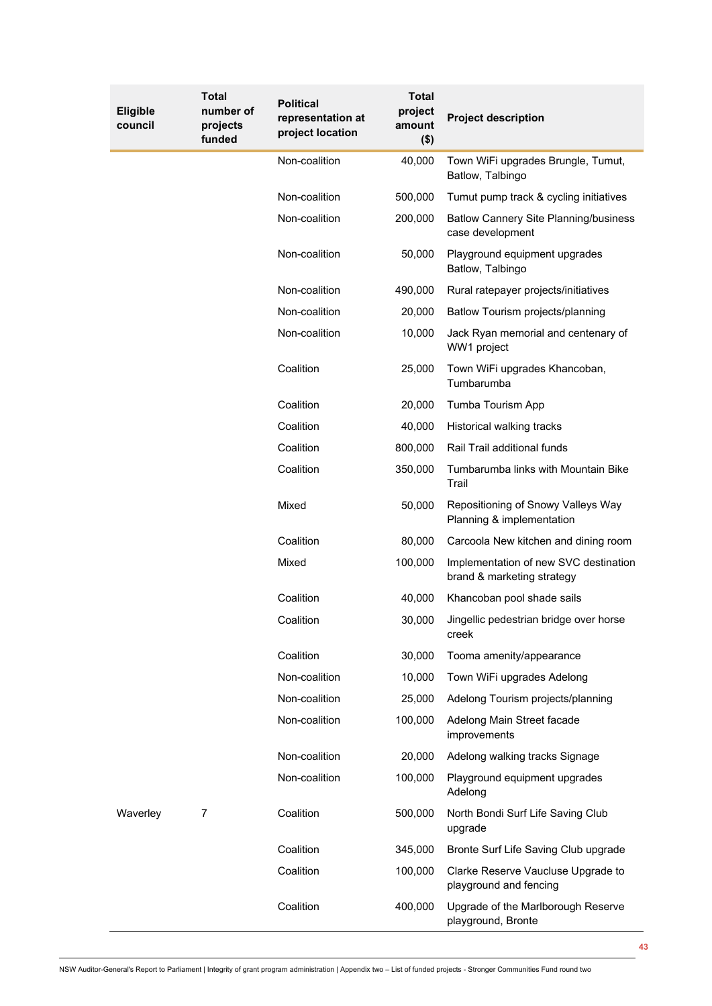| Eligible<br>council | <b>Total</b><br>number of<br>projects<br>funded | <b>Political</b><br>representation at<br>project location | <b>Total</b><br>project<br>amount<br>$($ \$) | <b>Project description</b>                                          |
|---------------------|-------------------------------------------------|-----------------------------------------------------------|----------------------------------------------|---------------------------------------------------------------------|
|                     |                                                 | Non-coalition                                             | 40,000                                       | Town WiFi upgrades Brungle, Tumut,<br>Batlow, Talbingo              |
|                     |                                                 | Non-coalition                                             | 500,000                                      | Tumut pump track & cycling initiatives                              |
|                     |                                                 | Non-coalition                                             | 200,000                                      | <b>Batlow Cannery Site Planning/business</b><br>case development    |
|                     |                                                 | Non-coalition                                             | 50,000                                       | Playground equipment upgrades<br>Batlow, Talbingo                   |
|                     |                                                 | Non-coalition                                             | 490,000                                      | Rural ratepayer projects/initiatives                                |
|                     |                                                 | Non-coalition                                             | 20,000                                       | Batlow Tourism projects/planning                                    |
|                     |                                                 | Non-coalition                                             | 10,000                                       | Jack Ryan memorial and centenary of<br>WW1 project                  |
|                     |                                                 | Coalition                                                 | 25,000                                       | Town WiFi upgrades Khancoban,<br>Tumbarumba                         |
|                     |                                                 | Coalition                                                 | 20,000                                       | Tumba Tourism App                                                   |
|                     |                                                 | Coalition                                                 | 40,000                                       | Historical walking tracks                                           |
|                     |                                                 | Coalition                                                 | 800,000                                      | Rail Trail additional funds                                         |
|                     |                                                 | Coalition                                                 | 350,000                                      | Tumbarumba links with Mountain Bike<br>Trail                        |
|                     |                                                 | Mixed                                                     | 50,000                                       | Repositioning of Snowy Valleys Way<br>Planning & implementation     |
|                     |                                                 | Coalition                                                 | 80,000                                       | Carcoola New kitchen and dining room                                |
|                     |                                                 | Mixed                                                     | 100,000                                      | Implementation of new SVC destination<br>brand & marketing strategy |
|                     |                                                 | Coalition                                                 | 40,000                                       | Khancoban pool shade sails                                          |
|                     |                                                 | Coalition                                                 | 30,000                                       | Jingellic pedestrian bridge over horse<br>creek                     |
|                     |                                                 | Coalition                                                 | 30,000                                       | Tooma amenity/appearance                                            |
|                     |                                                 | Non-coalition                                             | 10,000                                       | Town WiFi upgrades Adelong                                          |
|                     |                                                 | Non-coalition                                             | 25,000                                       | Adelong Tourism projects/planning                                   |
|                     |                                                 | Non-coalition                                             | 100,000                                      | Adelong Main Street facade<br>improvements                          |
|                     |                                                 | Non-coalition                                             | 20,000                                       | Adelong walking tracks Signage                                      |
|                     |                                                 | Non-coalition                                             | 100,000                                      | Playground equipment upgrades<br>Adelong                            |
| Waverley            | 7                                               | Coalition                                                 | 500,000                                      | North Bondi Surf Life Saving Club<br>upgrade                        |
|                     |                                                 | Coalition                                                 | 345,000                                      | Bronte Surf Life Saving Club upgrade                                |
|                     |                                                 | Coalition                                                 | 100,000                                      | Clarke Reserve Vaucluse Upgrade to<br>playground and fencing        |
|                     |                                                 | Coalition                                                 | 400,000                                      | Upgrade of the Marlborough Reserve<br>playground, Bronte            |